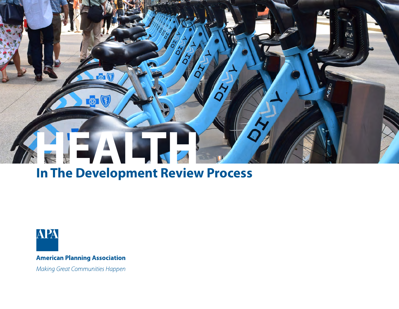# **HEALTH**

## **In The Development Review Process**

 $\sqrt{3}$ 



**American Planning Association** 

Making Great Communities Happen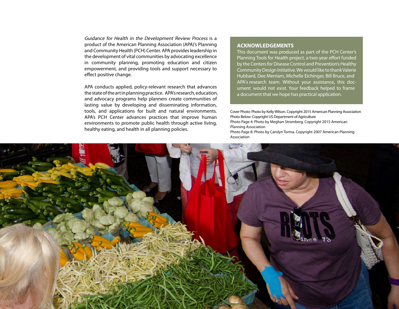Guidance for Health in the Development Review Process is a product of the American Planning Association (APA)'s Planning and Community Health (PCH) Center. APA provides leadership in the development of vital communities by advocating excellence in community planning, promoting education and citizen empowerment, and providing tools and support necessary to effect positive change.

APA conducts applied, policy-relevant research that advances the state of the art in planning practice. APA's research, education, and advocacy programs help planners create communities of lasting value by developing and disseminating information, tools, and applications for built and natural environments. APA's PCH Center advances practices that improve human environments to promote public health through active living, healthy eating, and health in all planning policies.

#### **ACKNOWLEDGEMENTS**

This document was produced as part of the PCH Center's Planning Tools for Health project, a two-year effort funded by the Centers for Disease Control and Prevention's Healthy Community Design Initiative. We would like to thank Valerie Hubbard, Dee Merriam, Michelle Eichinger, Bill Bruce, and APA's research team. Without your assistance, this document would not exist. Your feedback helped to frame a document that we hope has practical application.

Cover Photo: Photo by Kelly Wilson. Copyright 2015 American Planning Association Photo Below: Copyright US Department of Agriculture

Photo Page 4: Photo by Meghan Stromberg. Copyright 2015 American Planning Association

Photo Page 8: Photo by Carolyn Torma. Copyright 2007 American Planning Association

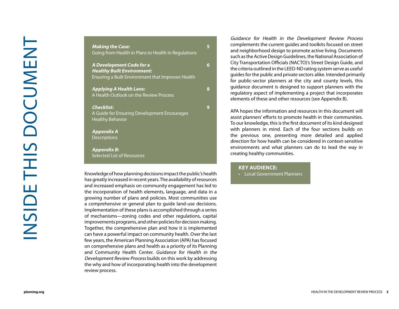**Making the Case:**  Going from Health in Plans to Health in Regulations

**A Development Code for a Healthy Built Environment:**  Ensuring a Built Environment that Improves Health **5689**

 $\bf{8}$ 

 $9<sup>°</sup>$ 

 $6<sup>1</sup>$ 

 $5<sup>1</sup>$ 

**Applying A Health Lens:**  A Health Outlook on the Review Process

#### **Checklist:**

A Guide for Ensuring Development Encourages Healthy Behavior

**Appendix A Descriptions** 

**Appendix B:**  Selected List of Resources

Knowledge of how planning decisions impact the public's health has greatly increased in recent years. The availability of resources and increased emphasis on community engagement has led to the incorporation of health elements, language, and data in a growing number of plans and policies. Most communities use a comprehensive or general plan to guide land-use decisions. Implementation of these plans is accomplished through a series of mechanisms—zoning codes and other regulations, capital improvements programs, and other policies for decision making. Together, the comprehensive plan and how it is implemented can have a powerful impact on community health. Over the last few years, the American Planning Association (APA) has focused on comprehensive plans and health as a priority of its Planning and Community Health Center. Guidance for Health in the Development Review Process builds on this work by addressing the why and how of incorporating health into the development review process.

Guidance for Health in the Development Review Process complements the current guides and toolkits focused on street and neighborhood design to promote active living. Documents such as the Active Design Guidelines, the National Association of City Transportation Officials (NACTO)'s Street Design Guide, and the criteria outlined in the LEED-ND rating system serve as useful guides for the public and private sectors alike. Intended primarily for public-sector planners at the city and county levels, this guidance document is designed to support planners with the regulatory aspect of implementing a project that incorporates elements of these and other resources ( see Appendix B).

APA hopes the information and resources in this document will assist planners' efforts to promote health in their communities. To our knowledge, this is the first document of its kind designed with planners in mind. Each of the four sections builds on the previous one, presenting more detailed and applied direction for how health can be considered in context-sensitive environments and what planners can do to lead the way in creating healthy communities.

#### **KEY AUDIENCE:**

• Local Government Planners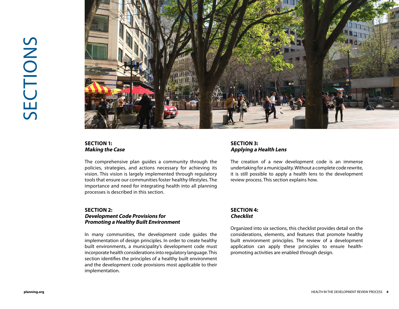

#### **SECTION 1: Making the Case**

The comprehensive plan guides a community through the policies, strategies, and actions necessary for achieving its vision. This vision is largely implemented through regulatory tools that ensure our communities foster healthy lifestyles. The importance and need for integrating health into all planning processes is described in this section.

#### **SECTION 2: Development Code Provisions for Promoting a Healthy Built Environment**

In many communities, the development code guides the implementation of design principles. In order to create healthy built environments, a municipality's development code must incorporate health considerations into regulatory language. This section identifies the principles of a healthy built environment and the development code provisions most applicable to their implementation.

#### **SECTION 3: Applying a Health Lens**

The creation of a new development code is an immense undertaking for a municipality. Without a complete code rewrite, it is still possible to apply a health lens to the development review process. This section explains how.

#### **SECTION 4: Checklist**

Organized into six sections, this checklist provides detail on the considerations, elements, and features that promote healthy built environment principles. The review of a development application can apply these principles to ensure healthpromoting activities are enabled through design.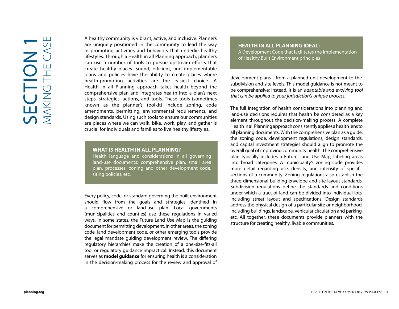A healthy community is vibrant, active, and inclusive. Planners are uniquely positioned in the community to lead the way in promoting activities and behaviors that underlie healthy lifestyles. Through a Health in all Planning approach, planners can use a number of tools to pursue upstream efforts that create healthy places. Sound, efficient, and implementable plans and policies have the ability to create places where health-promoting activities are the easiest choice. A Health in all Planning approach takes health beyond the comprehensive plan and integrates health into a plan's next steps, strategies, actions, and tools. These tools (sometimes known as the planner's toolkit) include zoning, code amendments, permitting, environmental requirements, and design standards. Using such tools to ensure our communities are places where we can walk, bike, work, play, and gather is crucial for individuals and families to live healthy lifestyles.

#### **WHAT IS HEALTH IN ALL PLANNING?**

Health language and considerations in all governing land-use documents: comprehensive plan, small area plan, processes, zoning and other development code, siting policies, etc.

Every policy, code, or standard governing the built environment should flow from the goals and strategies identified in a comprehensive or land-use plan. Local governments (municipalities and counties) use these regulations in varied ways. In some states, the Future Land Use Map is the guiding document for permitting development. In other areas, the zoning code, land development code, or other emerging tools provide the legal mandate guiding development review. The differing regulatory hierarchies make the creation of a one-size-fits-all tool or regulatory guidance impractical. Instead, this document serves as **model guidance** for ensuring health is a consideration in the decision-making process for the review and approval of

### **HEALTH IN ALL PLANNING IDEAL:**

A Development Code that facilitates the implementation of Healthy Built Environment principles

development plans—from a planned unit development to the subdivision and site levels. This model guidance is not meant to be comprehensive; instead, it is an adaptable and evolving tool that can be applied to your jurisdiction's unique process.

The full integration of health considerations into planning and land-use decisions requires that health be considered as a key element throughout the decision-making process. A complete Health in all Planning approach consistently applies a health lens to all planning documents. With the comprehensive plan as a quide, the zoning code, development regulations, design standards, and capital investment strategies should align to promote the overall goal of improving community health. The comprehensive plan typically includes a Future Land Use Map, labeling areas into broad categories. A municipality's zoning code provides more detail regarding use, density, and intensity of specific sections of a community. Zoning regulations also establish the three-dimensional building envelope and site layout standards. Subdivision regulations define the standards and conditions under which a tract of land can be divided into individual lots, including street layout and specifications. Design standards address the physical design of a particular site or neighborhood, including buildings, landscape, vehicular circulation and parking, etc. All together, these documents provide planners with the structure for creating healthy, livable communities.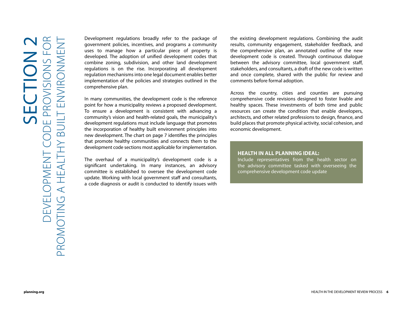Development regulations broadly refer to the package of government policies, incentives, and programs a community uses to manage how a particular piece of property is developed. The adoption of unified development codes that combine zoning, subdivision, and other land development regulations is on the rise. Incorporating all development regulation mechanisms into one legal document enables better implementation of the policies and strategies outlined in the comprehensive plan.

In many communities, the development code is the reference point for how a municipality reviews a proposed development. To ensure a development is consistent with advancing a community's vision and health-related goals, the municipality's development regulations must include language that promotes the incorporation of healthy built environment principles into new development. The chart on page 7 identifies the principles that promote healthy communities and connects them to the development code sections most applicable for implementation.

The overhaul of a municipality's development code is a significant undertaking. In many instances, an advisory committee is established to oversee the development code update. Working with local government staff and consultants, a code diagnosis or audit is conducted to identify issues with

the existing development regulations. Combining the audit results, community engagement, stakeholder feedback, and the comprehensive plan, an annotated outline of the new development code is created. Through continuous dialogue between the advisory committee, local government staff, stakeholders, and consultants, a draft of the new code is written and once complete, shared with the public for review and comments before formal adoption.

Across the country, cities and counties are pursuing comprehensive code revisions designed to foster livable and healthy spaces. These investments of both time and public resources can create the condition that enable developers, architects, and other related professions to design, finance, and build places that promote physical activity, social cohesion, and economic development.

#### **HEALTH IN ALL PLANNING IDEAL:**

Include representatives from the health sector on the advisory committee tasked with overseeing the comprehensive development code update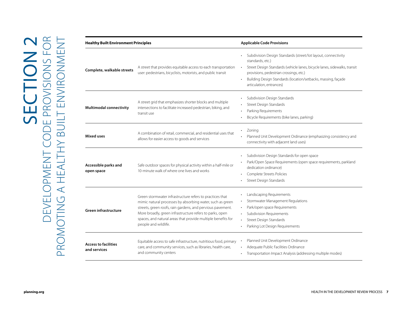|                                    | A street that provides equitable access to each transportation                                                         | Subdivision Design Standards (street/lot layout, connectivity<br>standards, etc.)<br>Street Design Standards (vehicle lanes, bicycle lanes, sidewalks, transit |
|------------------------------------|------------------------------------------------------------------------------------------------------------------------|----------------------------------------------------------------------------------------------------------------------------------------------------------------|
| Complete, walkable streets         | user: pedestrians, bicyclists, motorists, and public transit                                                           | provisions, pedestrian crossings, etc.)                                                                                                                        |
|                                    |                                                                                                                        | Building Design Standards (location/setbacks, massing, façade<br>articulation, entrances)                                                                      |
|                                    | A street grid that emphasizes shorter blocks and multiple                                                              | Subdivision Design Standards                                                                                                                                   |
| <b>Multimodal connectivity</b>     | intersections to facilitate increased pedestrian, biking, and                                                          | Street Design Standards<br>Parking Requirements                                                                                                                |
|                                    | transit use                                                                                                            | Bicycle Requirements (bike lanes, parking)                                                                                                                     |
|                                    | A combination of retail, commercial, and residential uses that                                                         | Zoning                                                                                                                                                         |
| <b>Mixed uses</b>                  | allows for easier access to goods and services                                                                         | Planned Unit Development Ordinance (emphasizing consistency and<br>connectivity with adjacent land uses)                                                       |
|                                    |                                                                                                                        | Subdivision Design Standards for open space                                                                                                                    |
| Accessible parks and<br>open space | Safe outdoor spaces for physical activity within a half-mile or<br>10-minute walk of where one lives and works         | Park/Open Space Requirements (open space requirements, parkland<br>dedication ordinance)                                                                       |
|                                    |                                                                                                                        | Complete Streets Policies                                                                                                                                      |
|                                    |                                                                                                                        | Street Design Standards                                                                                                                                        |
|                                    | Green stormwater infrastructure refers to practices that                                                               | Landscaping Requirements                                                                                                                                       |
|                                    | mimic natural processes by absorbing water, such as green                                                              | Stormwater Management Regulations<br>$\bullet$                                                                                                                 |
| Green infrastructure               | streets, green roofs, rain gardens, and pervious pavement.<br>More broadly, green infrastructure refers to parks, open | Park/open space Requirements<br>Subdivision Requirements<br>$\bullet$                                                                                          |
|                                    | spaces, and natural areas that provide multiple benefits for                                                           | Street Design Standards                                                                                                                                        |
|                                    | people and wildlife.                                                                                                   | Parking Lot Design Requirements                                                                                                                                |
| <b>Access to facilities</b>        | Equitable access to safe infrastructure, nutritious food, primary                                                      | Planned Unit Development Ordinance                                                                                                                             |
| and services                       | care, and community services, such as libraries, health care,                                                          | • Adequate Public Facilities Ordinance                                                                                                                         |
|                                    | and community centers                                                                                                  | · Transportation Impact Analysis (addressing multiple modes)                                                                                                   |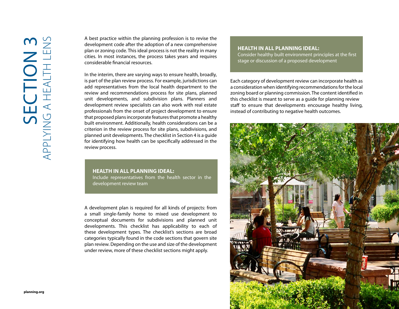A best practice within the planning profession is to revise the development code after the adoption of a new comprehensive plan or zoning code. This ideal process is not the reality in many cities. In most instances, the process takes years and requires considerable financial resources.

In the interim, there are varying ways to ensure health, broadly, is part of the plan review process. For example, jurisdictions can add representatives from the local health department to the review and recommendations process for site plans, planned unit developments, and subdivision plans. Planners and development review specialists can also work with real estate professionals from the onset of project development to ensure that proposed plans incorporate features that promote a healthy built environment. Additionally, health considerations can be a criterion in the review process for site plans, subdivisions, and planned unit developments. The checklist in Section 4 is a guide for identifying how health can be specifically addressed in the review process.

#### **HEALTH IN ALL PLANNING IDEAL:**

Include representatives from the health sector in the development review team

A development plan is required for all kinds of projects: from a small single-family home to mixed use development to conceptual documents for subdivisions and planned unit developments. This checklist has applicability to each of these development types. The checklist's sections are broad categories typically found in the code sections that govern site plan review. Depending on the use and size of the development under review, more of these checklist sections might apply.

#### **HEALTH IN ALL PLANNING IDEAL:**

Consider healthy built environment principles at the first stage or discussion of a proposed development

Each category of development review can incorporate health as a consideration when identifying recommendations for the local zoning board or planning commission. The content identified in this checklist is meant to serve as a guide for planning review staff to ensure that developments encourage healthy living, instead of contributing to negative health outcomes.

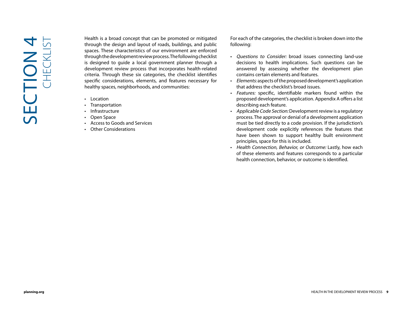**Planning. planning. planning. planning. planning. planning. planning. planning. planning. planning. planning. planning. planning. planning. planning. planning. planning. c** *planning.* Health is a broad concept that can be promoted or mitigated through the design and layout of roads, buildings, and public spaces. These characteristics of our environment are enforced through the development review process. The following checklist is designed to guide a local government planner through a development review process that incorporates health-related criteria. Through these six categories, the checklist identifies specific considerations, elements, and features necessary for healthy spaces, neighborhoods, and communities:

- Location
- Transportation
- Infrastructure
- Open Space
- Access to Goods and Services
- Other Considerations

For each of the categories, the checklist is broken down into the following:

- Questions to Consider: broad issues connecting land-use decisions to health implications. Such questions can be answered by assessing whether the development plan contains certain elements and features.
- Elements: aspects of the proposed development's application that address the checklist's broad issues.
- Features: specific, identifiable markers found within the proposed development's application. Appendix A offers a list describing each feature.
- Applicable Code Section: Development review is a regulatory process. The approval or denial of a development application must be tied directly to a code provision. If the jurisdiction's development code explicitly references the features that have been shown to support healthy built environment principles, space for this is included.
- Health Connection, Behavior, or Outcome: Lastly, how each of these elements and features corresponds to a particular health connection, behavior, or outcome is identified.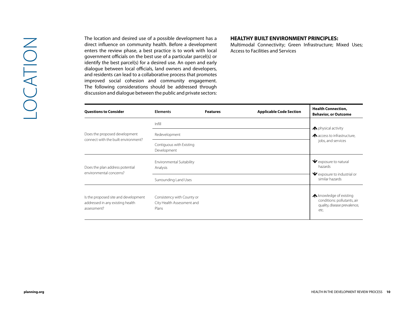#### **HEALTHY BUILT ENVIRONMENT PRINCIPLES:**

| <b>Questions to Consider</b>                                                            | <b>Elements</b>                                                   | <b>Features</b> | <b>Applicable Code Section</b> | <b>Health Connection,</b><br><b>Behavior, or Outcome</b>                                              |
|-----------------------------------------------------------------------------------------|-------------------------------------------------------------------|-----------------|--------------------------------|-------------------------------------------------------------------------------------------------------|
|                                                                                         | Infill                                                            |                 |                                | ← physical activity                                                                                   |
| Does the proposed development<br>connect with the built environment?                    | Redevelopment                                                     |                 |                                | A access to infrastructure,<br>jobs, and services                                                     |
|                                                                                         | Contiguous with Existing<br>Development                           |                 |                                |                                                                                                       |
| Does the plan address potential<br>environmental concerns?                              | Environmental Suitability<br>Analysis                             |                 |                                | V exposure to natural<br>hazards                                                                      |
|                                                                                         | Surrounding Land Uses                                             |                 |                                | $\blacktriangleright$ exposure to industrial or<br>similar hazards                                    |
| Is the proposed site and development<br>addressed in any existing health<br>assessment? | Consistency with County or<br>City Health Assessment and<br>Plans |                 |                                | <b>A</b> knowledge of existing<br>conditions: pollutants, air<br>quality, disease prevalence,<br>etc. |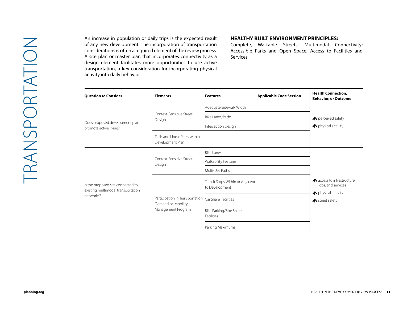An increase in population or daily trips is the expected result of any new development. The incorporation of transportation considerations is often a required element of the review process. A site plan or master plan that incorporates connectivity as a design element facilitates more opportunities to use active transportation, a key consideration for incorporating physical activity into daily behavior.

#### **HEALTHY BUILT ENVIRONMENT PRINCIPLES:**

| <b>Question to Consider</b>                                             | <b>Elements</b>                                                                                  | <b>Features</b>                                    | <b>Applicable Code Section</b> | <b>Health Connection,</b><br><b>Behavior, or Outcome</b>                 |
|-------------------------------------------------------------------------|--------------------------------------------------------------------------------------------------|----------------------------------------------------|--------------------------------|--------------------------------------------------------------------------|
| Does proposed development plan<br>promote active living?                |                                                                                                  | Adequate Sidewalk Width                            |                                |                                                                          |
|                                                                         | Context-Sensitive Street<br>Design                                                               | Bike Lanes/Paths                                   |                                | ← perceived safety                                                       |
|                                                                         |                                                                                                  | Intersection Design                                |                                | ← physical activity                                                      |
|                                                                         | Trails and Linear Parks within<br>Development Plan                                               |                                                    |                                |                                                                          |
| Is the proposed site connected to<br>existing multimodal transportation | Context-Sensitive Street<br>Design                                                               | <b>Bike Lanes</b>                                  |                                |                                                                          |
|                                                                         |                                                                                                  | Walkability Features                               |                                |                                                                          |
|                                                                         |                                                                                                  | Multi-Use Paths                                    |                                |                                                                          |
|                                                                         | Participation in Transportation Car Share Facilities<br>Demand or Mobility<br>Management Program | Transit Stops Within or Adjacent<br>to Development |                                | A access to infrastructure,<br>jobs, and services<br>▲ physical activity |
| networks?                                                               |                                                                                                  |                                                    |                                | ← street safety                                                          |
|                                                                         |                                                                                                  | Bike Parking/Bike Share<br>Facilities              |                                |                                                                          |
|                                                                         |                                                                                                  | Parking Maximums                                   |                                |                                                                          |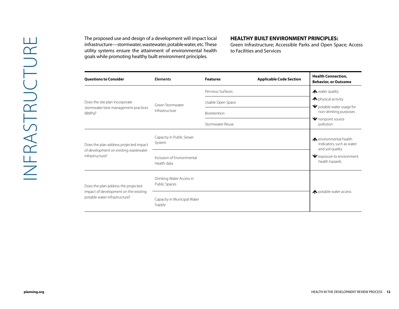The proposed use and design of a development will impact local infrastructure—stormwater, wastewater, potable water, etc. These utility systems ensure the attainment of environmental health goals while promoting healthy built environment principles.

#### **HEALTHY BUILT ENVIRONMENT PRINCIPLES:**

| <b>Questions to Consider</b>                                                                                  | <b>Elements</b>                           | <b>Features</b>   | <b>Applicable Code Section</b> | <b>Health Connection,</b><br><b>Behavior, or Outcome</b>                |
|---------------------------------------------------------------------------------------------------------------|-------------------------------------------|-------------------|--------------------------------|-------------------------------------------------------------------------|
|                                                                                                               |                                           | Pervious Surfaces |                                | ← water quality                                                         |
| Does the site plan incorporate<br>stormwater best management practices<br>(BMPs)?                             | Green Stormwater<br>Infrastructure        | Usable Open Space |                                | ← physical activity<br>↓ potable water usage for                        |
|                                                                                                               |                                           | Bioretention      |                                | non-drinking purposes                                                   |
|                                                                                                               |                                           | Stormwater Reuse  |                                | V nonpoint source<br>pollution                                          |
| Does the plan address projected impact                                                                        | Capacity in Public Sewer<br>System        |                   |                                | ▲ environmental health<br>indicators, such as water<br>and soil quality |
| of development on existing wastewater<br>infrastructure?                                                      | Inclusion of Environmental<br>Health data |                   |                                | V exposure to environment<br>health hazards                             |
| Does the plan address the projected<br>impact of development on the existing<br>potable water infrastructure? | Drinking Water Access in<br>Public Spaces |                   |                                |                                                                         |
|                                                                                                               | Capacity in Municipal Water<br>Supply     |                   |                                | ◆ potable water access                                                  |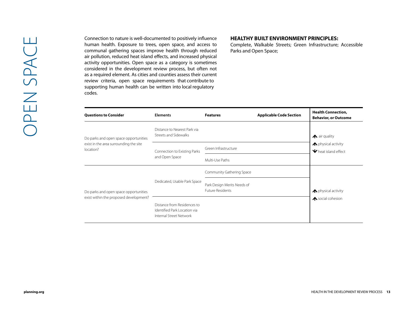#### **HEALTHY BUILT ENVIRONMENT PRINCIPLES:**

| <b>Questions to Consider</b>                                                                 | <b>Elements</b>                                                                        | <b>Applicable Code Section</b><br><b>Features</b> | <b>Health Connection,</b><br><b>Behavior, or Outcome</b>        |
|----------------------------------------------------------------------------------------------|----------------------------------------------------------------------------------------|---------------------------------------------------|-----------------------------------------------------------------|
| Do parks and open space opportunities<br>exist in the area surrounding the site<br>location? | Distance to Nearest Park via<br>Streets and Sidewalks                                  |                                                   | $\bigwedge$ air quality                                         |
|                                                                                              | Connection to Existing Parks<br>and Open Space                                         | Green Infrastructure                              | ← physical activity<br>$\blacktriangleright$ heat island effect |
|                                                                                              |                                                                                        | Multi-Use Paths                                   |                                                                 |
|                                                                                              |                                                                                        | Community Gathering Space                         |                                                                 |
|                                                                                              | Dedicated, Usable Park Space                                                           | Park Design Merits Needs of<br>Future Residents   | ← physical activity                                             |
| Do parks and open space opportunities<br>exist within the proposed development?              |                                                                                        |                                                   | <b>∧</b> social cohesion                                        |
|                                                                                              | Distance from Residences to<br>Identified Park Location via<br>Internal Street Network |                                                   |                                                                 |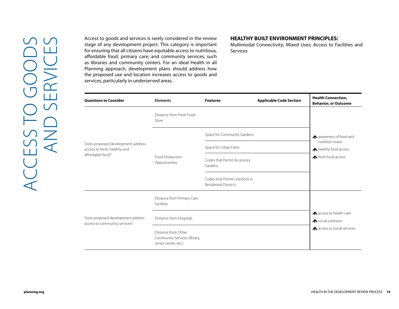#### **HEALTHY BUILT ENVIRONMENT PRINCIPLES:**

| the proposed use and location increases access to goods and<br>services, particularly in underserved areas. | Planning approach, development plans should address how                     |                                                                |                                |                                                          |  |
|-------------------------------------------------------------------------------------------------------------|-----------------------------------------------------------------------------|----------------------------------------------------------------|--------------------------------|----------------------------------------------------------|--|
| <b>Questions to Consider</b>                                                                                | <b>Elements</b>                                                             | <b>Features</b>                                                | <b>Applicable Code Section</b> | <b>Health Connection,</b><br><b>Behavior, or Outcome</b> |  |
| Does proposed development address<br>access to fresh, healthy, and<br>affordable food?                      | Distance from Fresh Food<br>Store                                           |                                                                |                                |                                                          |  |
|                                                                                                             |                                                                             | Space for Community Gardens                                    |                                | A awareness of food and                                  |  |
|                                                                                                             | Food Production<br>Opportunities                                            | Space for Urban Farm                                           |                                | nutrition issues<br>A healthy food access                |  |
|                                                                                                             |                                                                             | Codes that Permit Accessory<br>Gardens                         |                                | ← fresh food access                                      |  |
|                                                                                                             |                                                                             | Codes that Permit Livestock in<br><b>Residential Districts</b> |                                |                                                          |  |
|                                                                                                             | Distance from Primary Care<br>Facilities                                    |                                                                |                                |                                                          |  |
| Does proposed development address                                                                           | Distance from Hospitals                                                     |                                                                |                                | A access to health care<br><b>∧</b> social cohesion      |  |
| access to community services?                                                                               | Distance from Other<br>Community Services (library,<br>senior center, etc.) |                                                                |                                | A access to social services                              |  |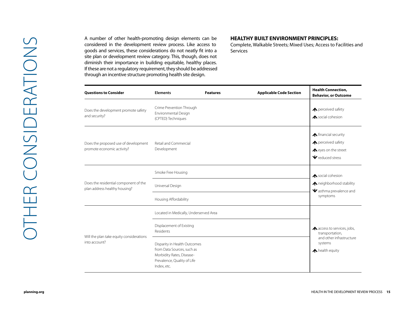#### **HEALTHY BUILT ENVIRONMENT PRINCIPLES:**

| <b>Questions to Consider</b>                                           | <b>Elements</b>                                                                                                                       | <b>Features</b> | <b>Applicable Code Section</b> | <b>Health Connection,</b><br><b>Behavior, or Outcome</b>                                                             |  |
|------------------------------------------------------------------------|---------------------------------------------------------------------------------------------------------------------------------------|-----------------|--------------------------------|----------------------------------------------------------------------------------------------------------------------|--|
| Does the development promote safety<br>and security?                   | Crime Prevention Through<br>Environmental Design<br>(CPTED) Techniques                                                                |                 |                                | ← perceived safety<br>▲ social cohesion                                                                              |  |
| Does the proposed use of development<br>promote economic activity?     | Retail and Commercial<br>Development                                                                                                  |                 |                                | $\bigwedge$ financial security<br>← perceived safety<br>← eyes on the street<br>$\blacktriangleright$ reduced stress |  |
| Does the residential component of the<br>plan address healthy housing? | Smoke Free Housing<br>Universal Design                                                                                                |                 |                                | <b>∧</b> social cohesion<br>▲ neighborhood stability                                                                 |  |
|                                                                        | Housing Affordability                                                                                                                 |                 |                                | V asthma prevalence and<br>symptoms                                                                                  |  |
|                                                                        | Located in Medically, Underserved Area                                                                                                |                 |                                |                                                                                                                      |  |
|                                                                        | Displacement of Existing<br>Residents                                                                                                 |                 |                                | A access to services, jobs,<br>transportation,                                                                       |  |
| Will the plan take equity considerations<br>into account?              | Disparity in Health Outcomes<br>from Data Sources, such as<br>Morbidity Rates, Disease-<br>Prevalence, Quality of Life<br>Index, etc. |                 |                                | and other infrastructure<br>systems<br>← health equity                                                               |  |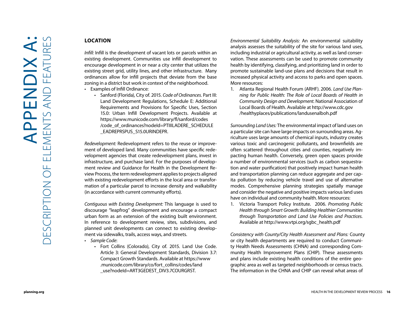#### **LOCATION**

*Infill:* Infill is the development of vacant lots or parcels within an existing development. Communities use infill development to encourage development in or near a city center that utilizes the existing street grid, utility lines, and other infrastructure. Many ordinances allow for infill projects that deviate from the base zoning in a district but work in context of the neighborhood.<br>• Examples of Infill Ordinance:

- - Sanford (Florida), City of. 2015. *Code of Ordinances*. Part III: Land Development Regulations, Schedule E: Additional Requirements and Provisions for Specific Uses, Section 15.0: Urban Infill Development Projects. Available at [https://www.municode.com/library/fl/sanford/codes](https://www.municode.com/library/fl/sanford/codes/code_of_ordinances?nodeId=PTIIILADERE_SCHEDULE_EADREPRSPUS_S15.0URINDEPR) [/code\\_of\\_ordinances?nodeId=PTIIILADERE\\_SCHEDULE](https://www.municode.com/library/fl/sanford/codes/code_of_ordinances?nodeId=PTIIILADERE_SCHEDULE_EADREPRSPUS_S15.0URINDEPR) [\\_EADREPRSPUS\\_S15.0URINDEPR.](https://www.municode.com/library/fl/sanford/codes/code_of_ordinances?nodeId=PTIIILADERE_SCHEDULE_EADREPRSPUS_S15.0URINDEPR)

*Redevelopment:* Redevelopment refers to the reuse or improve ment of developed land. Many communities have specific rede velopment agencies that create redevelopment plans, invest in infrastructure, and purchase land. For the purposes of develop ment review and Guidance for Health in the Development Re view Process, the term redevelopment applies to projects aligned with existing redevelopment efforts in the local area or transfor mation of a particular parcel to increase density and walkability (in accordance with current community efforts).

*Contiguous with Existing Development:* This language is used to discourage "leapfrog" development and encourage a compact urban form as an extension of the existing built environment. In reference to development review, sites, subdivisions, and planned unit developments can connect to existing develop ment via sidewalks, trails, access ways, and streets.

- 
- *• Sample Code*: Fort Collins (Colorado), City of. 2015. Land Use Code. Article 3: General Development Standards, Division 3.7: Compact Growth Standards. Available at [https://www](https://www.municode.com/library/co/fort_collins/codes/land_use?nodeId=ART3GEDEST_DIV3.7COURGRST) [.municode.com/library/co/fort\\_collins/codes/land](https://www.municode.com/library/co/fort_collins/codes/land_use?nodeId=ART3GEDEST_DIV3.7COURGRST) [\\_use?nodeId=ART3GEDEST\\_DIV3.7COURGRST](https://www.municode.com/library/co/fort_collins/codes/land_use?nodeId=ART3GEDEST_DIV3.7COURGRST).

*Environmental Suitability Analysis:* An environmental suitability analysis assesses the suitability of the site for various land uses, including industrial or agricultural activity, as well as land conser vation. These assessments can be used to promote community health by identifying, classifying, and prioritizing land in order to promote sustainable land-use plans and decisions that result in increased physical activity and access to parks and open spaces. More resources:

1. Atlanta Regional Health Forum (ARHF). 2006. *Land Use Plan ning for Public Health: The Role of Local Boards of Health in Community Design and Development.* National Association of Local Boards of Health. Available at [http://www.cdc.gov](http://www.cdc.gov/healthyplaces/publications/landusenalboh.pdf) [/healthyplaces/publications/landusenalboh.pdf](http://www.cdc.gov/healthyplaces/publications/landusenalboh.pdf)

*Surrounding Land Uses:* The environmental impact of land uses on a particular site can have large impacts on surrounding areas. Ag riculture uses large amounts of chemical inputs, industry creates various toxic and carcinogenic pollutants, and brownfields are often scattered throughout cities and counties, negatively im pacting human health. Conversely, green open spaces provide a number of environmental services (such as carbon sequestra tion and water purification) that positively impact human health and transportation planning can reduce aggregate and per cap ita pollution by reducing vehicle travel and use of alternative modes. Comprehensive planning strategies spatially manage and consider the negative and positive impacts various land uses have on individual and community health. More resources:

1. Victoria Transport Policy Institute. 2006. *Promoting Public Health through Smart Growth: Building Healthier Communities through Transportation and Land Use Policies and Practices.*  Available at [http://www.vtpi.org/sgbc\\_health.pdf](http://www.vtpi.org/sgbc_health.pdf)

*Consistency with*  C*ounty/*C*ity*  H*ealth*  A*ssessment and*  P*lans:* County or city health departments are required to conduct Communi ty Health Needs Assessments (CHNA) and corresponding Com munity Health Improvement Plans (CHIP). These assessments and plans include existing health conditions of the entire geo graphic area as well as targeted neighborhoods or census tracts. The information in the CHNA and CHIP can reveal what areas of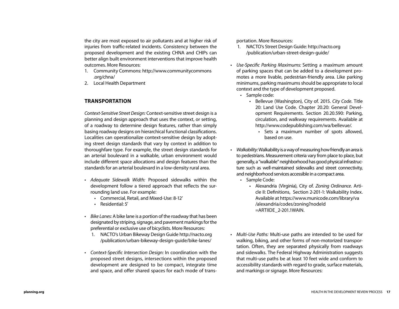the city are most exposed to air pollutants and at higher risk of injuries from traffic-related incidents. Consistency between the proposed development and the existing CHNA and CHIPs can better align built environment interventions that improve health outcomes. More Resources:

- 1. Community Commons: [http://www.communitycommons](http://www.communitycommons.org/chna/) [.org/chna/](http://www.communitycommons.org/chna/)
- 2. Local Health Department

#### **TRANSPORTATION**

*Context-Sensitive Street Design:* Context-sensitive street design is a planning and design approach that uses the context, or setting, of a roadway to determine design features, rather than simply basing roadway designs on hierarchical functional classifications. Localities can operationalize context-sensitive design by adopting street design standards that vary by context in addition to thoroughfare type. For example, the street design standards for an arterial boulevard in a walkable, urban environment would include different space allocations and design features than the standards for an arterial boulevard in a low-density rural area.

- *• Adequate Sidewalk Width:* Proposed sidewalks within the development follow a tiered approach that reflects the surrounding land use. For example:
	- Commercial, Retail, and Mixed-Use: 8-12'
	- Residential: 5'
- *• Bike Lanes:* A bike lane is a portion of the roadway that has been designated by striping, signage, and pavement markings for the preferential or exclusive use of bicyclists. More Resources:
	- 1. NACTO's Urban Bikeway Design Guide [http://nacto.org](http://nacto.org/publication/urban-bikeway-design-guide/bike-lanes/) [/publication/urban-bikeway-design-guide/bike-lanes/](http://nacto.org/publication/urban-bikeway-design-guide/bike-lanes/)
- *• Context-Specific Intersection Design:* In coordination with the proposed street designs, intersections within the proposed development are designed to be compact, integrate time and space, and offer shared spaces for each mode of trans-

portation. More Resources:

- 1. NACTO's Street Design Guide: [http://nacto.org](http://nacto.org/publication/urban-street-design-guide/) [/publication/urban-street-design-guide/](http://nacto.org/publication/urban-street-design-guide/)
- *• Use-Specific Parking Maximums:* Setting a maximum amount of parking spaces that can be added to a development promotes a more livable, pedestrian-friendly area. Like parking minimums, parking maximums should be appropriate to local context and the type of development proposed.
	- Sample code:
		- Bellevue (Washington), City of. 2015. *City Code*. Title 20: Land Use Code. Chapter 20.20: General Development Requirements. Section 20.20.590: Parking, circulation, and walkway requirements. Available at [http://www.codepublishing.com/wa/bellevue/.](http://www.codepublishing.com/wa/bellevue/)
			- Sets a maximum number of spots allowed, based on use.
- *• Walkability*: Walkability is a way of measuring how friendly an area is to pedestrians. Measurement criteria vary from place to place, but generally, a "walkable" neighborhood has good physical infrastructure such as well-maintained sidewalks and street connectivity, and neighborhood services accessible in a compact area.
	- Sample Code:
		- Alexandria (Virginia), City of. *Zoning Ordinance*. Article II: Definitions, Section 2-201-1: Walkability Index. Available at [https://www.municode.com/library/va](https://www.municode.com/library/va/alexandria/codes/zoning?nodeId=ARTIIDE_2-201.1WAIN) [/alexandria/codes/zoning?nodeId](https://www.municode.com/library/va/alexandria/codes/zoning?nodeId=ARTIIDE_2-201.1WAIN) [=ARTIIDE\\_2-201.1WAIN](https://www.municode.com/library/va/alexandria/codes/zoning?nodeId=ARTIIDE_2-201.1WAIN).
- *• Multi-Use Paths:* Multi-use paths are intended to be used for walking, biking, and other forms of non-motorized transportation. Often, they are separated physically from roadways and sidewalks. The Federal Highway Administration suggests that multi-use paths be at least 10 feet wide and conform to accessibility standards with regard to grade, surface materials, and markings or signage. More Resources: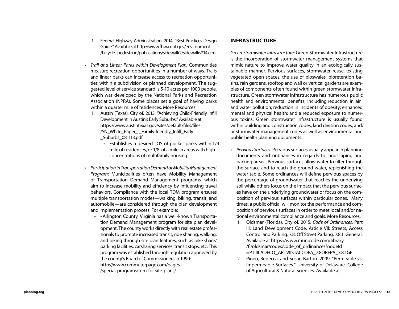- *• Trail and Linear Parks within Development Plan:* Communities measure recreation opportunities in a number of ways. Trails and linear parks can increase access to recreation opportunities within a subdivision or planned development. The suggested level of service standard is 5-10 acres per 1000 people, which was developed by the National Parks and Recreation Association (NPRA). Some places set a goal of having parks within a quarter mile of residences. More Resources:
	- 1. Austin (Texas), City of. 2013. "Achieving Child-Friendly Infill Development in Austin's Early Suburbs." Available at [https://www.austintexas.gov/sites/default/files/files](https://www.austintexas.gov/sites/default/files/files/SN_White_Paper_-_Family-friendly_Infill_Early_Suburbs_081113.pdf) [/SN\\_White\\_Paper\\_-\\_Family-friendly\\_Infill\\_Early](https://www.austintexas.gov/sites/default/files/files/SN_White_Paper_-_Family-friendly_Infill_Early_Suburbs_081113.pdf) Suburbs\_081113.pdf.
		- Establishes a desired LOS of pocket parks within 1/4 mile of residences, or 1/8 of a mile in areas with high concentrations of multifamily housing.
- *• Participation in Transportation Demand or Mobility Management Program*: Municipalities often have Mobility Management or Transportation Demand Management programs, which aim to increase mobility and efficiency by influencing travel behaviors. Compliance with the local TDM program ensures multiple transportation modes—walking, biking, transit, and automobile—are considered through the plan development and implementation process. For example:
	- • Arlington County, Virginia has a well-known Transportation Demand Management program for site plan development. The county works directly with real estate professionals to promote increased transit, ride sharing, walking, and biking through site plan features, such as bike share/ parking facilities, carsharing services, transit stops, etc. This program was established through regulation approved by the county's Board of Commissioners in 1990: [http://www.commuterpage.com/pages](http://www.commuterpage.com/pages/special-programs/tdm-for-site-plans/) [/special-programs/tdm-for-site-plans/](http://www.commuterpage.com/pages/special-programs/tdm-for-site-plans/)

#### **INFRASTRUCTURE**

*Green Stormwater Infrastructure:* Green Stormwater Infrastructure is the incorporation of stormwater management systems that mimic nature to improve water quality in an ecologically sustainable manner. Pervious surfaces, stormwater reuse, existing vegetated open spaces, the use of bioswales, bioretention basins, rain gardens, rooftop and wall or vertical gardens are examples of components often found within green stormwater infrastructure. Green stormwater infrastructure has numerous public health and environmental benefits, including reduction in air and water pollution; reduction in incidents of obesity; enhanced mental and physical health; and a reduced exposure to numerous toxins. Green stormwater infrastructure is usually found within building and construction codes, land division codes, and/ or stormwater management codes as well as environmental and public health planning documents.

- *• Pervious Surfaces:* Pervious surfaces usually appear in planning documents and ordinances in regards to landscaping and parking areas. Pervious surfaces allow water to filter through the surface and to reach the ground water, replenishing the water table. Some ordinances will define pervious spaces by the percentage of groundwater that reaches the underlying soil while others focus on the impact that the pervious surfaces have on the underlying groundwater or focus on the composition of pervious surfaces within particular zones. Many times, a public official will monitor the performance and composition of pervious surfaces in order to meet local and/or national environmental compliance and goals. More Resources:
	- 1. Oldsmar (Florida), City of. 2015. *Code of Ordinances.* Part III: Land Development Code. Article VII: Streets, Access Control and Parking. 7.8: Off Street Parking. 7.8.1: General. Available at [https://www.municode.com/library](https://www.municode.com/library/fl/oldsmar/codes/code_of_ordinances?nodeId=PTIIILADECO_ARTVIISTACCOPA_7.8OREPA_7.8.1GE) [/fl/oldsmar/codes/code\\_of\\_ordinances?nodeId](https://www.municode.com/library/fl/oldsmar/codes/code_of_ordinances?nodeId=PTIIILADECO_ARTVIISTACCOPA_7.8OREPA_7.8.1GE) [=PTIIILADECO\\_ARTVIISTACCOPA\\_7.8OREPA\\_7.8.1GE](https://www.municode.com/library/fl/oldsmar/codes/code_of_ordinances?nodeId=PTIIILADECO_ARTVIISTACCOPA_7.8OREPA_7.8.1GE)
	- 2. Pineo, Rebecca, and Susan Barton. 2009. "Permeable vs. Impermeable Surfaces." University of Delaware, College of Agricultural & Natural Sciences. Available at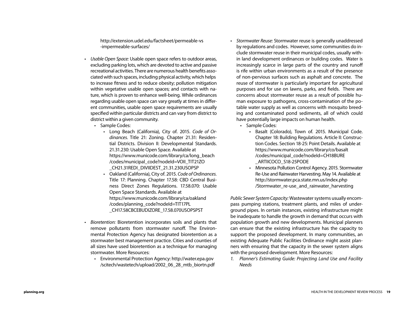[http://extension.udel.edu/factsheet/permeable-vs](http://extension.udel.edu/factsheet/permeable-vs-impermeable-surfaces/) [-impermeable-surfaces/](http://extension.udel.edu/factsheet/permeable-vs-impermeable-surfaces/)

- *• Usable Open Space:* Usable open space refers to outdoor areas, excluding parking lots, which are devoted to active and passive recreational activities. There are numerous health benefits associated with such spaces, including physical activity, which helps to increase fitness and to reduce obesity; pollution mitigation within vegetative usable open spaces; and contacts with nature, which is proven to enhance well-being. While ordinances regarding usable open space can vary greatly at times in different communities, usable open space requirements are usually specified within particular districts and can vary from district to district within a given community.
	- Sample Codes:
		- Long Beach (California), City of. 2015. *Code of Ordinances.* Title 21: Zoning. Chapter 21.31: Residential Districts. Division II: Developmental Standards. 21.31.230: Usable Open Space. Available at [https://www.municode.com/library/ca/long\\_beach](https://www.municode.com/library/ca/long_beach/codes/municipal_code?nodeId=VOII_TIT21ZO_CH21.31REDI_DIVIIDEST_21.31.230USOPSP) [/codes/municipal\\_code?nodeId=VOII\\_TIT21ZO](https://www.municode.com/library/ca/long_beach/codes/municipal_code?nodeId=VOII_TIT21ZO_CH21.31REDI_DIVIIDEST_21.31.230USOPSP) [\\_CH21.31REDI\\_DIVIIDEST\\_21.31.230USOPSP](https://www.municode.com/library/ca/long_beach/codes/municipal_code?nodeId=VOII_TIT21ZO_CH21.31REDI_DIVIIDEST_21.31.230USOPSP)
		- Oakland (California), City of. 2015. *Code of Ordinances.*  Title 17: Planning. Chapter 17.58: CBD Central Business Direct Zones Regulations. 17.58.070: Usable Open Space Standards. Available at [https://www.municode.com/library/ca/oakland](https://www.municode.com/library/ca/oakland/codes/planning_code?nodeId=TIT17PL_CH17.58CBCEBUDIZORE_17.58.070USOPSPST) [/codes/planning\\_code?nodeId=TIT17PL](https://www.municode.com/library/ca/oakland/codes/planning_code?nodeId=TIT17PL_CH17.58CBCEBUDIZORE_17.58.070USOPSPST) [\\_CH17.58CBCEBUDIZORE\\_17.58.070USOPSPST](https://www.municode.com/library/ca/oakland/codes/planning_code?nodeId=TIT17PL_CH17.58CBCEBUDIZORE_17.58.070USOPSPST)
- *• Bioretention:* Bioretention incorporates soils and plants that remove pollutants from stormwater runoff. The Environmental Protection Agency has designated bioretention as a stormwater best management practice. Cities and counties of all sizes have used bioretention as a technique for managing stormwater. More Resources:
	- Environmental Protection Agency: [http://water.epa.gov](http://water.epa.gov/scitech/wastetech/upload/2002_06_28_mtb_biortn.pdf) [/scitech/wastetech/upload/2002\\_06\\_28\\_mtb\\_biortn.pdf](http://water.epa.gov/scitech/wastetech/upload/2002_06_28_mtb_biortn.pdf)
- *• Stormwater Reuse:* Stormwater reuse is generally unaddressed by regulations and codes. However, some communities do include stormwater reuse in their municipal codes, usually within land development ordinances or building codes. Water is increasingly scarce in large parts of the country and runoff is rife within urban environments as a result of the presence of non-pervious surfaces such as asphalt and concrete. The reuse of stormwater is particularly important for agricultural purposes and for use on lawns, parks, and fields. There are concerns about stormwater reuse as a result of possible human exposure to pathogens, cross-contamination of the potable water supply as well as concerns with mosquito breeding and contaminated pond sediments, all of which could have potentially large impacts on human health.
	- Sample Codes:
		- Basalt (Colorado), Town of. 2015. Municipal Code. Chapter 18: Building Regulations. Article II: Construction Codes. Section 18-25: Point Details. Available at [https://www.municode.com/library/co/basalt](https://www.municode.com/library/co/basalt/codes/municipal_code?nodeId=CH18BURE_ARTIICOCO_S18-25PODE) [/codes/municipal\\_code?nodeId=CH18BURE](https://www.municode.com/library/co/basalt/codes/municipal_code?nodeId=CH18BURE_ARTIICOCO_S18-25PODE) [\\_ARTIICOCO\\_S18-25PODE](https://www.municode.com/library/co/basalt/codes/municipal_code?nodeId=CH18BURE_ARTIICOCO_S18-25PODE)
		- Minnesota Pollution Control Agency. 2015. Stormwater Re-Use and Rainwater Harvesting. May 14. Available at [http://stormwater.pca.state.mn.us/index.php](http://stormwater.pca.state.mn.us/index.php/Stormwater_re-use_and_rainwater_harvesting) /Stormwater re-use and rainwater harvesting

*Public Sewer System Capacity:* Wastewater systems usually encompass pumping stations, treatment plants, and miles of underground pipes. In certain instances, existing infrastructure might be inadequate to handle the growth in demand that occurs with population growth and new developments. Municipal planners can ensure that the existing infrastructure has the capacity to support the proposed development. In many communities, an existing Adequate Public Facilities Ordinance might assist planners with ensuring that the capacity in the sewer system aligns with the proposed development. More Resources:

*1. Planner's Estimating Guide: Projecting Land Use and Facility Needs*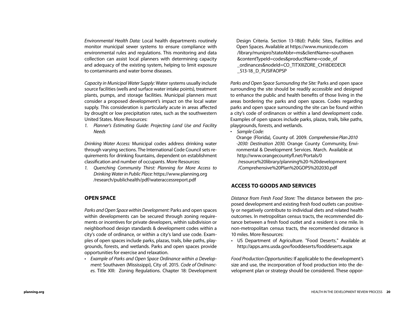*Environmental Health Data:* Local health departments routinely monitor municipal sewer systems to ensure compliance with environmental rules and regulations. This monitoring and data collection can assist local planners with determining capacity and adequacy of the existing system, helping to limit exposure to contaminants and water borne diseases.

*Capacity in Municipal Water Supply:* Water systems usually include source facilities (wells and surface water intake points), treatment plants, pumps, and storage facilities. Municipal planners must consider a proposed development's impact on the local water supply. This consideration is particularly acute in areas affected by drought or low precipitation rates, such as the southwestern United States. More Resources:

*1. Planner's Estimating Guide: Projecting Land Use and Facility Needs*

*Drinking Water Access:* Municipal codes address drinking water through varying sections. The International Code Council sets requirements for drinking fountains, dependent on establishment classification and number of occupants. More Resources:

*1. Quenching Community Thirst: Planning for More Access to Drinking Water in Public Place:* [https://www.planning.org](https://www.planning.org/research/publichealth/pdf/wateraccessreport.pdf) [/research/publichealth/pdf/wateraccessreport.pdf](https://www.planning.org/research/publichealth/pdf/wateraccessreport.pdf)

#### **OPEN SPACE**

*Parks and Open Space within Development:* Parks and open spaces within developments can be secured through zoning requirements or incentives for private developers, within subdivision or neighborhood design standards & development codes within a city's code of ordinance, or within a city's land use code. Examples of open spaces include parks, plazas, trails, bike paths, playgrounds, forests, and wetlands. Parks and open spaces provide opportunities for exercise and relaxation.

*• Example of Parks and Open Space Ordinance within a Development:* Southaven (Mississippi), City of. 2015. *Code of Ordinances.* Title XIII: Zoning Regulations. Chapter 18: Development Design Criteria. Section 13-18(d): Public Sites, Facilities and Open Spaces. Available at [https://www.municode.com](https://www.municode.com/library/munipro?stateAbbr=ms&clientName=southaven&contentTypeId=codes&productName=code_of_ordinances&nodeId=CO_TITXIIIZORE_CH18DEDECR_S13-18_D_PUSIFAOPSP) [/library/munipro?stateAbbr=ms&clientName=southaven](https://www.municode.com/library/munipro?stateAbbr=ms&clientName=southaven&contentTypeId=codes&productName=code_of_ordinances&nodeId=CO_TITXIIIZORE_CH18DEDECR_S13-18_D_PUSIFAOPSP) [&contentTypeId=codes&productName=code\\_of](https://www.municode.com/library/munipro?stateAbbr=ms&clientName=southaven&contentTypeId=codes&productName=code_of_ordinances&nodeId=CO_TITXIIIZORE_CH18DEDECR_S13-18_D_PUSIFAOPSP) [\\_ordinances&nodeId=CO\\_TITXIIIZORE\\_CH18DEDECR](https://www.municode.com/library/munipro?stateAbbr=ms&clientName=southaven&contentTypeId=codes&productName=code_of_ordinances&nodeId=CO_TITXIIIZORE_CH18DEDECR_S13-18_D_PUSIFAOPSP) S13-18\_D\_PUSIFAOPSP

*Parks and Open Space Surrounding the Site:* Parks and open space surrounding the site should be readily accessible and designed to enhance the public and health benefits of those living in the areas bordering the parks and open spaces. Codes regarding parks and open space surrounding the site can be found within a city's code of ordinances or within a land development code. Examples of open spaces include parks, plazas, trails, bike paths, playgrounds, forests, and wetlands.

*•* Sample Code:

Orange (Florida), County of. 2009. *Com*prehensive Plan 2010 *-2030: Destination 2030.* Orange County Community, Environmental & Development Services. March. Available at http://ww[w.orangecountyfl.net/Portals/0](http://www.orangecountyfl.net/Portals/0/resource%20library/planning%20-%20development/Comprehensive%20Plan%20GOPS%202030.pdf) [/resource%20library/planning%20-%20development](http://www.orangecountyfl.net/Portals/0/resource%20library/planning%20-%20development/Comprehensive%20Plan%20GOPS%202030.pdf) [/Comprehensive%20Plan%20GOPS%202030.pdf](http://www.orangecountyfl.net/Portals/0/resource%20library/planning%20-%20development/Comprehensive%20Plan%20GOPS%202030.pdf)

#### **ACCESS TO GOODS AND SERVICES**

*Distance from Fresh Food Store:* The distance between the proposed development and existing fresh food outlets can positively or negatively contribute to individual diets and related health outcomes. In metropolitan census tracts, the recommended distance between a fresh food outlet and a resident is one mile. In non-metropolitan census tracts, the recommended distance is 10 miles. More Resources:

• US Department of Agriculture. "Food Deserts." Available at <http://apps.ams.usda.gov/fooddeserts/fooddeserts.aspx>

*Food Production Opportunities:* If applicable to the development's size and use, the incorporation of food production into the development plan or strategy should be considered. These oppor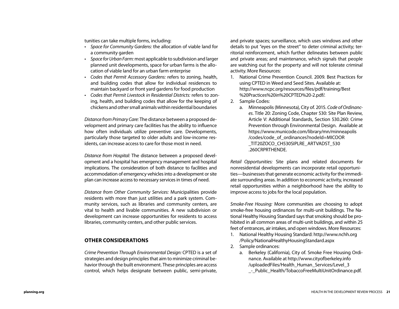tunities can take multiple forms, including:

- *• Space for* C*ommunity* G*ardens:* the allocation of viable land for a community garden
- *• Space for* U*rban* F*arm:* most applicable to subdivision and larger planned unit developments, space for urban farms is the allocation of viable land for an urban farm enterprise
- *• Codes that* P*ermit* A*ccessory* G*ardens:* refers to zoning, health, and building codes that allow for individual residences to maintain backyard or front yard gardens for food production
- *• Codes that* P*ermit* L*ivestock in* R*esidential* D*istricts:* refers to zoning, health, and building codes that allow for the keeping of chickens and other small animals within residential boundaries

*Distance from Primary Care:* The distance between a proposed development and primary care facilities has the ability to influence how often individuals utilize preventive care. Developments, particularly those targeted to older adults and low-income residents, can increase access to care for those most in need.

*Distance from Hospital:* The distance between a proposed development and a hospital has emergency management and hospital implications. The consideration of both distance to facilities and accommodation of emergency vehicles into a development or site plan can increase access to necessary services in times of need.

*Distance from Other Community Services:* Municipalities provide residents with more than just utilities and a park system. Community services, such as libraries and community centers, are vital to health and livable communities. A new subdivision or development can increase opportunities for residents to access libraries, community centers, and other public services.

#### **OTHER CONSIDERATIONS**

*Crime Prevention Through Environmental Design:* CPTED is a set of strategies and design principles that aim to minimize criminal behavior through the built environment. These principles are access control, which helps designate between public, semi-private, and private spaces; surveillance, which uses windows and other details to put "eyes on the street" to deter criminal activity; territorial reinforcement, which further delineates between public and private areas; and maintenance, which signals that people are watching out for the property and will not tolerate criminal activity. More Resources:

- 1. National Crime Prevention Council. 2009. Best Practices for using CPTED in Weed and Seed Sites. Available at: [http://www.ncpc.org/resources/files/pdf/training/Best](http://www.ncpc.org/resources/files/pdf/training/Best%20Practices%20in%20CPTED%20-2.pdf/) [%20Practices%20in%20CPTED%20-2.pdf/.](http://www.ncpc.org/resources/files/pdf/training/Best%20Practices%20in%20CPTED%20-2.pdf/)
- 2. Sample Codes:
	- a. Minneapolis (Minnesota), City of. 2015. *Code of Ordinances*. Title 20: Zoning Code, Chapter 530: Site Plan Review, Article V: Additional Standards, Section 530.260: Crime Prevention through Environmental Design. Available at [https://www.municode.com/library/mn/minneapolis](https://www.municode.com/library/mn/minneapolis/codes/code_of_ordinances?nodeId=MICOOR_TIT20ZOCO_CH530SIPLRE_ARTVADST_530.260CRPRTHENDE) [/codes/code\\_of\\_ordinances?nodeId=MICOOR](https://www.municode.com/library/mn/minneapolis/codes/code_of_ordinances?nodeId=MICOOR_TIT20ZOCO_CH530SIPLRE_ARTVADST_530.260CRPRTHENDE) TIT20ZOCO CH530SIPLRE\_ARTVADST\_530 [.260CRPRTHENDE.](https://www.municode.com/library/mn/minneapolis/codes/code_of_ordinances?nodeId=MICOOR_TIT20ZOCO_CH530SIPLRE_ARTVADST_530.260CRPRTHENDE)

*Retail Opportunities:* Site plans and related documents for nonresidential developments can incorporate retail opportunities—businesses that generate economic activity for the immediate surrounding areas. In addition to economic activity, increased retail opportunities within a neighborhood have the ability to improve access to jobs for the local population.

*Smoke*-*Free Housing:* More communities are choosing to adopt smoke-free housing ordinances for multi-unit buildings. The National Healthy Housing Standard says that smoking should be prohibited in all common areas of multi-unit buildings, and within 25 feet of entrances, air intakes, and open windows. More Resources:

- 1. National Healthy Housing Standard: [http://www.nchh.org](http://www.nchh.org/Policy/NationalHealthyHousingStandard.aspx) [/Policy/NationalHealthyHousingStandard.aspx](http://www.nchh.org/Policy/NationalHealthyHousingStandard.aspx)
- 2. Sample ordinances:
	- a. Berkeley (California), City of. Smoke Free Housing Ordinance. Available at [http://www.cityofberkeley.info](http://www.cityofberkeley.info/uploadedFiles/Health_Human_Services/Level_3_-_Public_Health/TobaccoFreeMultiUnitOrdinance.pdf) /uploadedFiles/Health Human Services/Level 3 [\\_-\\_Public\\_Health/TobaccoFreeMultiUnitOrdinance.pdf.](http://www.cityofberkeley.info/uploadedFiles/Health_Human_Services/Level_3_-_Public_Health/TobaccoFreeMultiUnitOrdinance.pdf)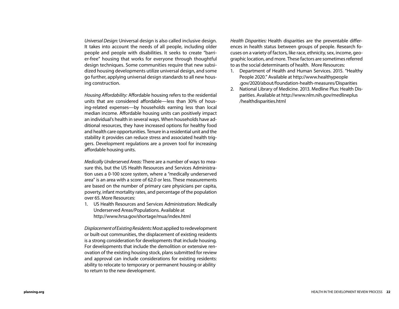*Universal Design:* Universal design is also called inclusive design. It takes into account the needs of all people, including older people and people with disabilities. It seeks to create "barrier-free" housing that works for everyone through thoughtful design techniques. Some communities require that new subsidized housing developments utilize universal design, and some go further, applying universal design standards to all new housing construction.

*Housing Affordability:* Affordable housing refers to the residential units that are considered affordable—less than 30% of housing-related expenses—by households earning less than local median income. Affordable housing units can positively impact an individual's health in several ways. When households have additional resources, they have increased options for healthy food and health care opportunities. Tenure in a residential unit and the stability it provides can reduce stress and associated health triggers. Development regulations are a proven tool for increasing affordable housing units.

*Medically Underserved Areas:* There are a number of ways to measure this, but the US Health Resources and Services Administration uses a 0-100 score system, where a "medically underserved area" is an area with a score of 62.0 or less. These measurements are based on the number of primary care physicians per capita, poverty, infant mortality rates, and percentage of the population over 65. More Resources:

1. US Health Resources and Services Administration: Medically Underserved Areas/Populations. Available at <http://www.hrsa.gov/shortage/mua/index.html>

*Displacement of Existing Residents:* Most applied to redevelopment or built-out communities, the displacement of existing residents is a strong consideration for developments that include housing. For developments that include the demolition or extensive renovation of the existing housing stock, plans submitted for review and approval can include considerations for existing residents: ability to relocate to temporary or permanent housing or ability to return to the new development.

*Health Disparities:* Health disparities are the preventable differences in health status between groups of people. Research focuses on a variety of factors, like race, ethnicity, sex, income, geographic location, and more. These factors are sometimes referred to as the social determinants of health. More Resources:

- 1. Department of Health and Human Services. 2015. "Healthy People 2020." Available at [http://www.healthypeople](http://www.healthypeople.gov/2020/about/foundation-health-measures/Disparities) [.gov/2020/about/foundation-health-measures/Disparities](http://www.healthypeople.gov/2020/about/foundation-health-measures/Disparities)
- 2. National Library of Medicine. 2013. Medline Plus: Health Disparities. Available at [http://www.nlm.nih.gov/medlineplus](http://www.nlm.nih.gov/medlineplus/healthdisparities.html) [/healthdisparities.html](http://www.nlm.nih.gov/medlineplus/healthdisparities.html)